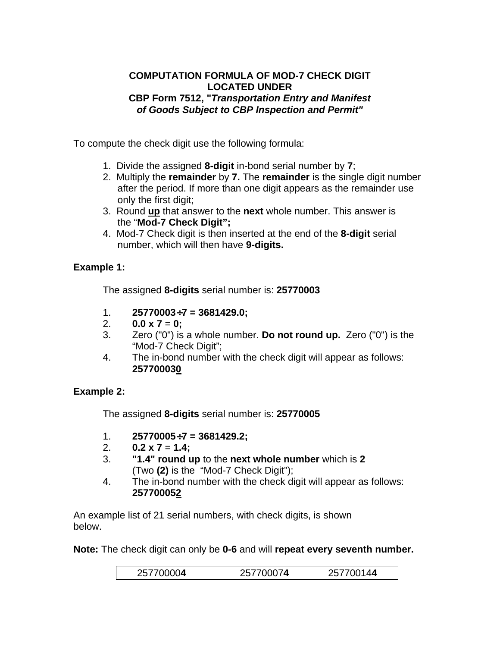## **COMPUTATION FORMULA OF MOD-7 CHECK DIGIT LOCATED UNDER CBP Form 7512, "***Transportation Entry and Manifest of Goods Subject to CBP Inspection and Permit"*

To compute the check digit use the following formula:

- 1. Divide the assigned **8-digit** in-bond serial number by **7**;
- 2. Multiply the **remainder** by **7.** The **remainder** is the single digit number after the period. If more than one digit appears as the remainder use only the first digit;
- 3. Round **up** that answer to the **next** whole number. This answer is the "**Mod-7 Check Digit";**
- 4. Mod-7 Check digit is then inserted at the end of the **8-digit** serial number, which will then have **9-digits.**

## **Example 1:**

The assigned **8-digits** serial number is: **25770003** 

- 1. **25770003**÷**7 = 3681429.0;**
- 2.  $0.0 \times 7 = 0$ ;
- 3. Zero ("0") is a whole number. **Do not round up.** Zero ("0") is the "Mod-7 Check Digit";
- 4. The in-bond number with the check digit will appear as follows: **257700030**

## **Example 2:**

The assigned **8-digits** serial number is: **25770005** 

- 1. **25770005**÷**7 = 3681429.2;**
- 2.  $0.2 \times 7 = 1.4$ ;
- 3. **"1.4" round up** to the **next whole number** which is **2**  (Two **(2)** is the "Mod-7 Check Digit");
- 4. The in-bond number with the check digit will appear as follows: **257700052**

An example list of 21 serial numbers, with check digits, is shown below.

**Note:** The check digit can only be **0-6** and will **repeat every seventh number.**